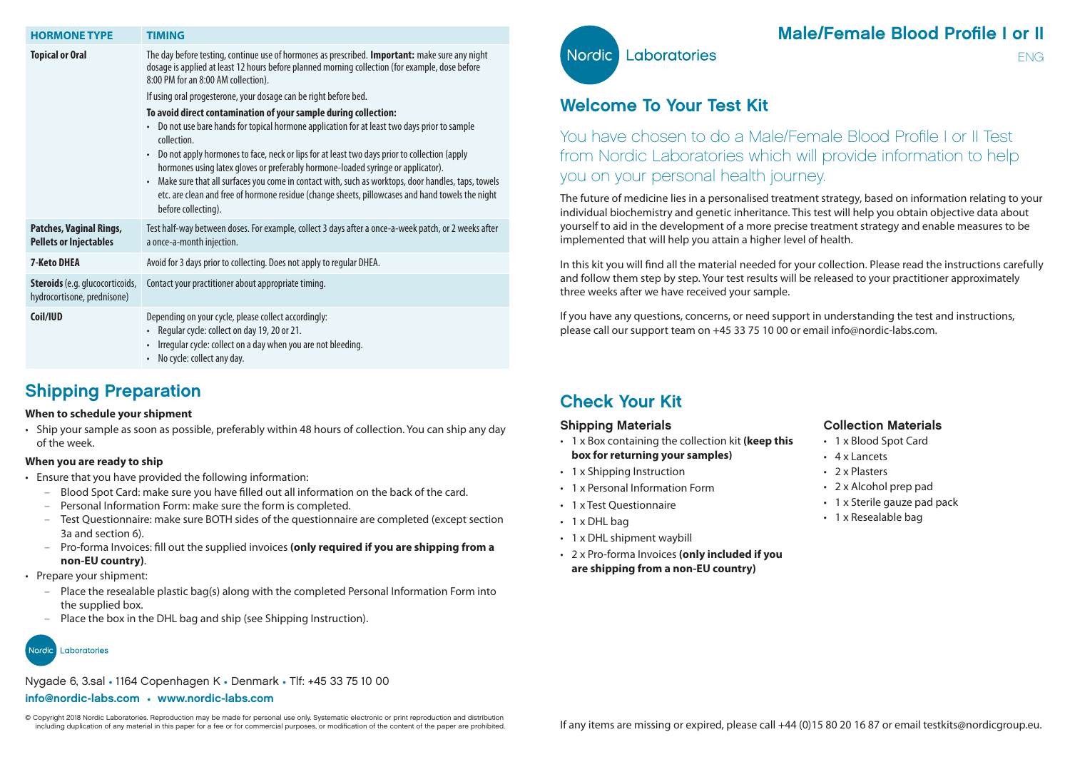| <b>HORMONE TYPE</b>                                            | <b>TIMING</b>                                                                                                                                                                                                                                                                                                                                                                                                                                                                                                                                                                                                                             |
|----------------------------------------------------------------|-------------------------------------------------------------------------------------------------------------------------------------------------------------------------------------------------------------------------------------------------------------------------------------------------------------------------------------------------------------------------------------------------------------------------------------------------------------------------------------------------------------------------------------------------------------------------------------------------------------------------------------------|
| <b>Topical or Oral</b>                                         | The day before testing, continue use of hormones as prescribed. Important: make sure any night<br>dosage is applied at least 12 hours before planned morning collection (for example, dose before<br>8:00 PM for an 8:00 AM collection).                                                                                                                                                                                                                                                                                                                                                                                                  |
|                                                                | If using oral progesterone, your dosage can be right before bed.                                                                                                                                                                                                                                                                                                                                                                                                                                                                                                                                                                          |
|                                                                | To avoid direct contamination of your sample during collection:<br>Do not use bare hands for topical hormone application for at least two days prior to sample<br>$\bullet$<br>collection.<br>Do not apply hormones to face, neck or lips for at least two days prior to collection (apply<br>$\bullet$<br>hormones using latex gloves or preferably hormone-loaded syringe or applicator).<br>Make sure that all surfaces you come in contact with, such as worktops, door handles, taps, towels<br>$\bullet$<br>etc. are clean and free of hormone residue (change sheets, pillowcases and hand towels the night<br>before collecting). |
| Patches, Vaginal Rings,<br><b>Pellets or Injectables</b>       | Test half-way between doses. For example, collect 3 days after a once-a-week patch, or 2 weeks after<br>a once-a-month injection.                                                                                                                                                                                                                                                                                                                                                                                                                                                                                                         |
| <b>7-Keto DHEA</b>                                             | Avoid for 3 days prior to collecting. Does not apply to regular DHEA.                                                                                                                                                                                                                                                                                                                                                                                                                                                                                                                                                                     |
| Steroids (e.g. glucocorticoids,<br>hydrocortisone, prednisone) | Contact your practitioner about appropriate timing.                                                                                                                                                                                                                                                                                                                                                                                                                                                                                                                                                                                       |
| Coil/IUD                                                       | Depending on your cycle, please collect accordingly:<br>Regular cycle: collect on day 19, 20 or 21.<br>$\bullet$<br>Irregular cycle: collect on a day when you are not bleeding.<br>$\bullet$<br>No cycle: collect any day.<br>$\bullet$                                                                                                                                                                                                                                                                                                                                                                                                  |

### Shipping Preparation

#### **When to schedule your shipment**

• Ship your sample as soon as possible, preferably within 48 hours of collection. You can ship any day of the week.

#### **When you are ready to ship**

- Ensure that you have provided the following information:
	- Blood Spot Card: make sure you have filled out all information on the back of the card.
	- Personal Information Form: make sure the form is completed.
	- Test Questionnaire: make sure BOTH sides of the questionnaire are completed (except section 3a and section 6).
	- Pro-forma Invoices: fill out the supplied invoices **(only required if you are shipping from a non-EU country)**.
- Prepare your shipment:
	- Place the resealable plastic bag(s) along with the completed Personal Information Form into the supplied box.
	- Place the box in the DHL bag and ship (see Shipping Instruction).



Nygade 6, 3.sal • 1164 Copenhagen K • Denmark • Tlf: +45 33 75 10 00

### info@nordic-labs.com • www.nordic-labs.com

© Copyright 2018 Nordic Laboratories. Reproduction may be made for personal use only. Systematic electronic or print reproduction and distribution<br>including duplication of any material in this paper for a fee or for commer including duplication of any material in this paper for a fee or for commercial purposes, or modification of the content of the paper are prohibited.



# Male/Female Blood Profile I or II

ENG

# Welcome To Your Test Kit

You have chosen to do a Male/Female Blood Profile I or II Test from Nordic Laboratories which will provide information to help you on your personal health journey.

The future of medicine lies in a personalised treatment strategy, based on information relating to your individual biochemistry and genetic inheritance. This test will help you obtain objective data about yourself to aid in the development of a more precise treatment strategy and enable measures to be implemented that will help you attain a higher level of health.

In this kit you will find all the material needed for your collection. Please read the instructions carefully and follow them step by step. Your test results will be released to your practitioner approximately three weeks after we have received your sample.

If you have any questions, concerns, or need support in understanding the test and instructions, please call our support team on +45 33 75 10 00 or email info@nordic-labs.com.

# Check Your Kit

### Shipping Materials

- 1 x Box containing the collection kit **(keep this box for returning your samples)**
- 1 x Shipping Instruction
- 1 x Personal Information Form
- 1 x Test Questionnaire
- 1 x DHI bag
- 1 x DHL shipment waybill
- 2 x Pro-forma Invoices **(only included if you are shipping from a non-EU country)**

### Collection Materials

- 1 x Blood Spot Card
- 4 x Lancets
- 2 x Plasters
- 2 x Alcohol prep pad
- 1 x Sterile gauze pad pack
- 1 x Resealable bag